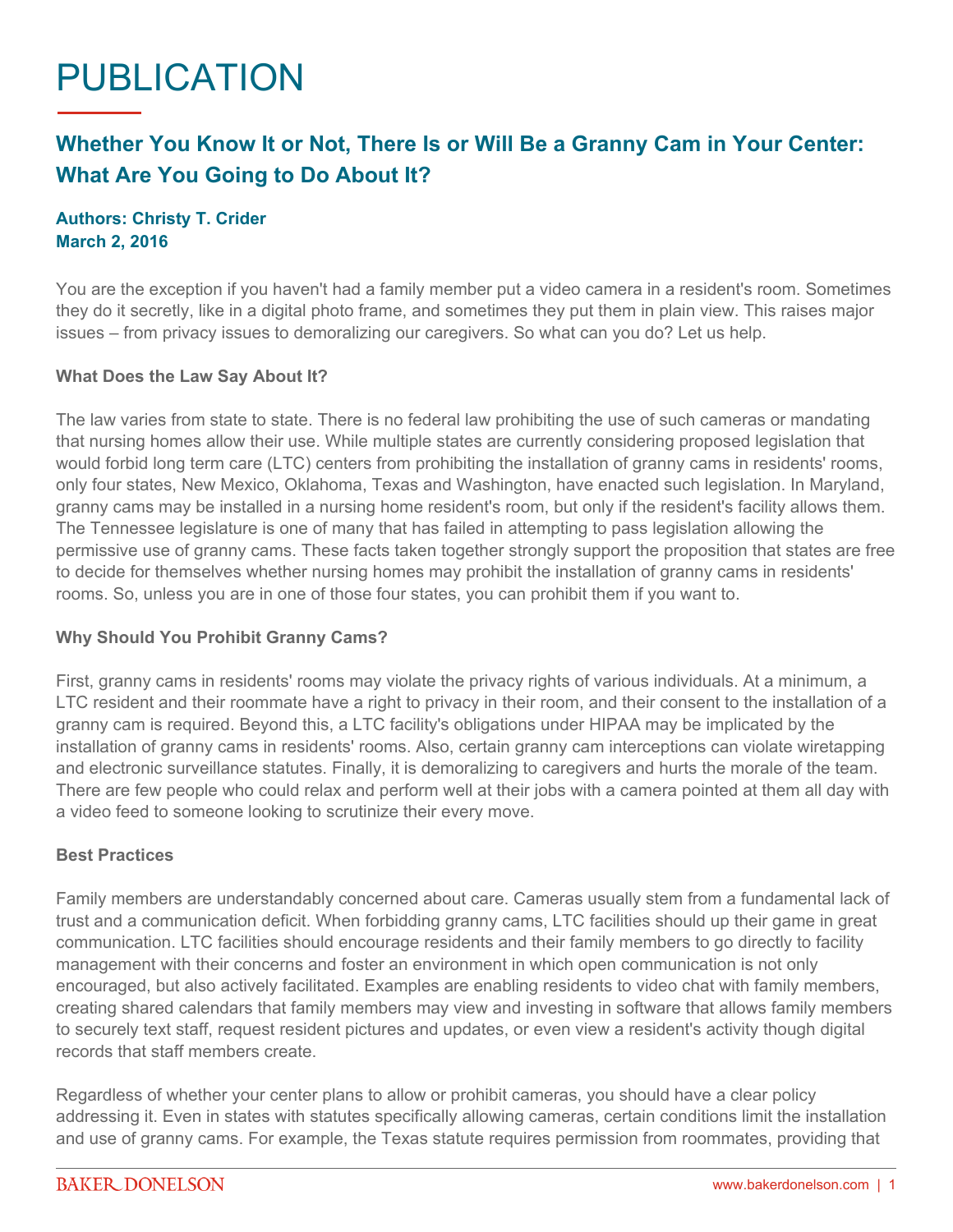# PUBLICATION

# **Whether You Know It or Not, There Is or Will Be a Granny Cam in Your Center: What Are You Going to Do About It?**

## **Authors: Christy T. Crider March 2, 2016**

You are the exception if you haven't had a family member put a video camera in a resident's room. Sometimes they do it secretly, like in a digital photo frame, and sometimes they put them in plain view. This raises major issues – from privacy issues to demoralizing our caregivers. So what can you do? Let us help.

## **What Does the Law Say About It?**

The law varies from state to state. There is no federal law prohibiting the use of such cameras or mandating that nursing homes allow their use. While multiple states are currently considering proposed legislation that would forbid long term care (LTC) centers from prohibiting the installation of granny cams in residents' rooms, only four states, New Mexico, Oklahoma, Texas and Washington, have enacted such legislation. In Maryland, granny cams may be installed in a nursing home resident's room, but only if the resident's facility allows them. The Tennessee legislature is one of many that has failed in attempting to pass legislation allowing the permissive use of granny cams. These facts taken together strongly support the proposition that states are free to decide for themselves whether nursing homes may prohibit the installation of granny cams in residents' rooms. So, unless you are in one of those four states, you can prohibit them if you want to.

#### **Why Should You Prohibit Granny Cams?**

First, granny cams in residents' rooms may violate the privacy rights of various individuals. At a minimum, a LTC resident and their roommate have a right to privacy in their room, and their consent to the installation of a granny cam is required. Beyond this, a LTC facility's obligations under HIPAA may be implicated by the installation of granny cams in residents' rooms. Also, certain granny cam interceptions can violate wiretapping and electronic surveillance statutes. Finally, it is demoralizing to caregivers and hurts the morale of the team. There are few people who could relax and perform well at their jobs with a camera pointed at them all day with a video feed to someone looking to scrutinize their every move.

#### **Best Practices**

Family members are understandably concerned about care. Cameras usually stem from a fundamental lack of trust and a communication deficit. When forbidding granny cams, LTC facilities should up their game in great communication. LTC facilities should encourage residents and their family members to go directly to facility management with their concerns and foster an environment in which open communication is not only encouraged, but also actively facilitated. Examples are enabling residents to video chat with family members, creating shared calendars that family members may view and investing in software that allows family members to securely text staff, request resident pictures and updates, or even view a resident's activity though digital records that staff members create.

Regardless of whether your center plans to allow or prohibit cameras, you should have a clear policy addressing it. Even in states with statutes specifically allowing cameras, certain conditions limit the installation and use of granny cams. For example, the Texas statute requires permission from roommates, providing that